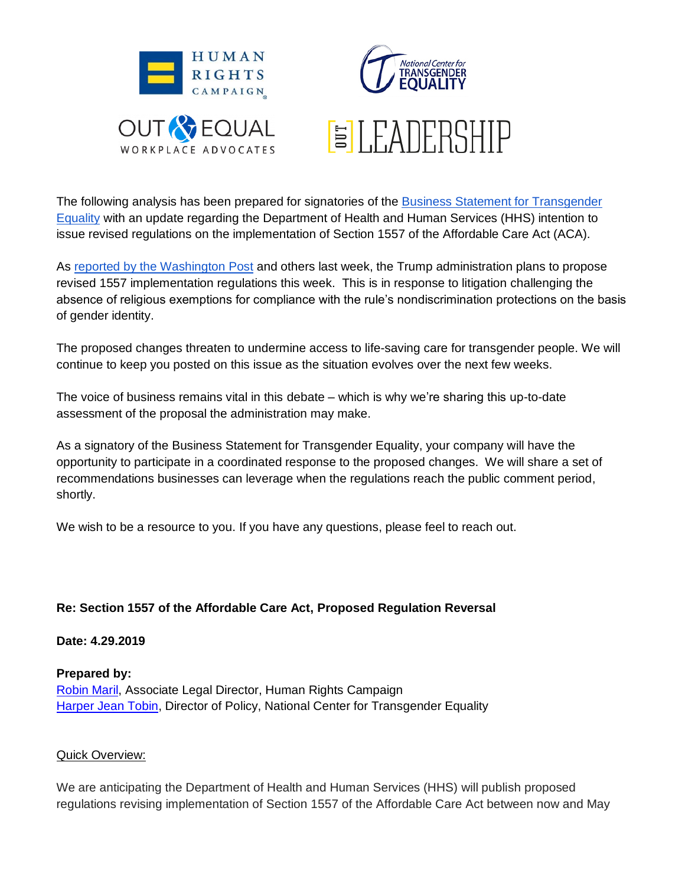



# **ELEANERSHIP**

The following analysis has been prepared for signatories of the [Business Statement for Transgender](https://businessfortransequality.com/)  [Equality](https://businessfortransequality.com/) with an update regarding the Department of Health and Human Services (HHS) intention to issue revised regulations on the implementation of Section 1557 of the Affordable Care Act (ACA).

As [reported by the Washington Post](https://www.washingtonpost.com/health/2019/04/24/trump-administration-prepares-rule-that-civil-rights-groups-worry-may-deny-care-transgender-patients/?utm_term=.f303de4e4077) and others last week, the Trump administration plans to propose revised 1557 implementation regulations this week. This is in response to litigation challenging the absence of religious exemptions for compliance with the rule's nondiscrimination protections on the basis of gender identity.

The proposed changes threaten to undermine access to life-saving care for transgender people. We will continue to keep you posted on this issue as the situation evolves over the next few weeks.

The voice of business remains vital in this debate – which is why we're sharing this up-to-date assessment of the proposal the administration may make.

As a signatory of the Business Statement for Transgender Equality, your company will have the opportunity to participate in a coordinated response to the proposed changes. We will share a set of recommendations businesses can leverage when the regulations reach the public comment period, shortly.

We wish to be a resource to you. If you have any questions, please feel to reach out.

## **Re: Section 1557 of the Affordable Care Act, Proposed Regulation Reversal**

**Date: 4.29.2019**

**Prepared by:**  [Robin Maril,](https://www.hrc.org/hrc-story/staff/robin-maril) Associate Legal Director, Human Rights Campaign **[Harper Jean Tobin,](https://transequality.org/about/people/harper-jean-tobin-sheherhers) Director of Policy, National Center for Transgender Equality** 

## Quick Overview:

We are anticipating the Department of Health and Human Services (HHS) will publish proposed regulations revising implementation of Section 1557 of the Affordable Care Act between now and May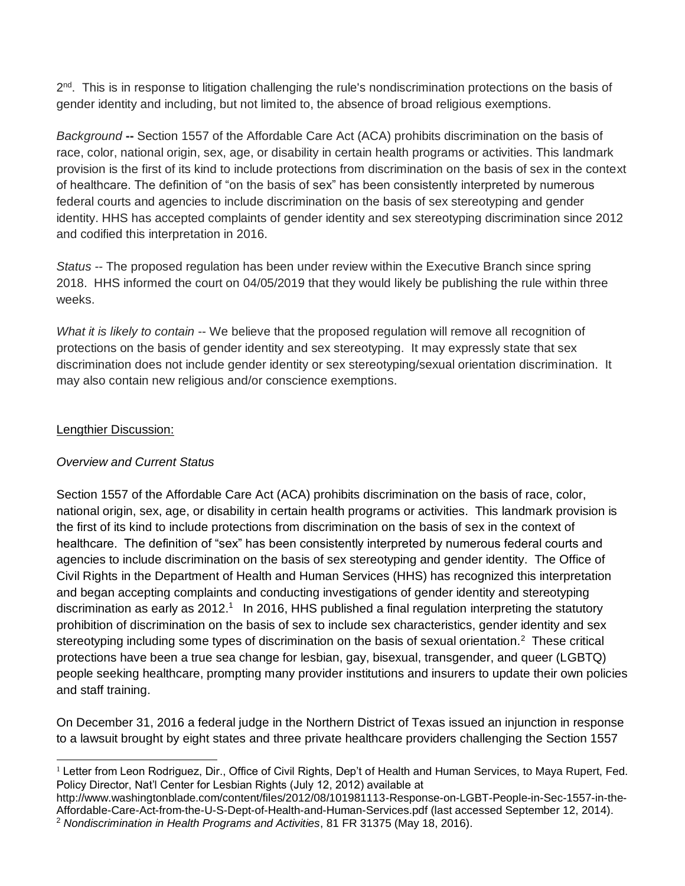2<sup>nd</sup>. This is in response to litigation challenging the rule's nondiscrimination protections on the basis of gender identity and including, but not limited to, the absence of broad religious exemptions.

*Background* **--** Section 1557 of the Affordable Care Act (ACA) prohibits discrimination on the basis of race, color, national origin, sex, age, or disability in certain health programs or activities. This landmark provision is the first of its kind to include protections from discrimination on the basis of sex in the context of healthcare. The definition of "on the basis of sex" has been consistently interpreted by numerous federal courts and agencies to include discrimination on the basis of sex stereotyping and gender identity. HHS has accepted complaints of gender identity and sex stereotyping discrimination since 2012 and codified this interpretation in 2016.

*Status* -- The proposed regulation has been under review within the Executive Branch since spring 2018. HHS informed the court on 04/05/2019 that they would likely be publishing the rule within three weeks.

*What it is likely to contain* -- We believe that the proposed regulation will remove all recognition of protections on the basis of gender identity and sex stereotyping. It may expressly state that sex discrimination does not include gender identity or sex stereotyping/sexual orientation discrimination. It may also contain new religious and/or conscience exemptions.

## Lengthier Discussion:

# *Overview and Current Status*

Section 1557 of the Affordable Care Act (ACA) prohibits discrimination on the basis of race, color, national origin, sex, age, or disability in certain health programs or activities. This landmark provision is the first of its kind to include protections from discrimination on the basis of sex in the context of healthcare. The definition of "sex" has been consistently interpreted by numerous federal courts and agencies to include discrimination on the basis of sex stereotyping and gender identity. The Office of Civil Rights in the Department of Health and Human Services (HHS) has recognized this interpretation and began accepting complaints and conducting investigations of gender identity and stereotyping discrimination as early as  $2012.<sup>1</sup>$  In 2016, HHS published a final regulation interpreting the statutory prohibition of discrimination on the basis of sex to include sex characteristics, gender identity and sex stereotyping including some types of discrimination on the basis of sexual orientation.<sup>2</sup> These critical protections have been a true sea change for lesbian, gay, bisexual, transgender, and queer (LGBTQ) people seeking healthcare, prompting many provider institutions and insurers to update their own policies and staff training.

On December 31, 2016 a federal judge in the Northern District of Texas issued an injunction in response to a lawsuit brought by eight states and three private healthcare providers challenging the Section 1557

http://www.washingtonblade.com/content/files/2012/08/101981113-Response-on-LGBT-People-in-Sec-1557-in-the-Affordable-Care-Act-from-the-U-S-Dept-of-Health-and-Human-Services.pdf (last accessed September 12, 2014). <sup>2</sup> *Nondiscrimination in Health Programs and Activities*, 81 FR 31375 (May 18, 2016).

  $1$  Letter from Leon Rodriguez, Dir., Office of Civil Rights, Dep't of Health and Human Services, to Maya Rupert, Fed. Policy Director, Nat'l Center for Lesbian Rights (July 12, 2012) available at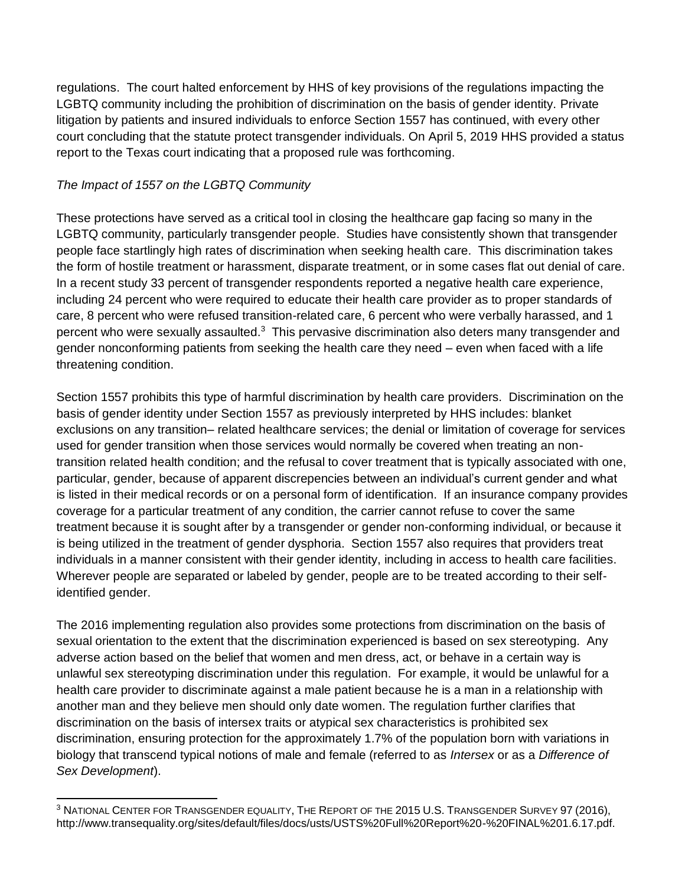regulations. The court halted enforcement by HHS of key provisions of the regulations impacting the LGBTQ community including the prohibition of discrimination on the basis of gender identity. Private litigation by patients and insured individuals to enforce Section 1557 has continued, with every other court concluding that the statute protect transgender individuals. On April 5, 2019 HHS provided a status report to the Texas court indicating that a proposed rule was forthcoming.

# *The Impact of 1557 on the LGBTQ Community*

These protections have served as a critical tool in closing the healthcare gap facing so many in the LGBTQ community, particularly transgender people. Studies have consistently shown that transgender people face startlingly high rates of discrimination when seeking health care. This discrimination takes the form of hostile treatment or harassment, disparate treatment, or in some cases flat out denial of care. In a recent study 33 percent of transgender respondents reported a negative health care experience, including 24 percent who were required to educate their health care provider as to proper standards of care, 8 percent who were refused transition-related care, 6 percent who were verbally harassed, and 1 percent who were sexually assaulted.<sup>3</sup> This pervasive discrimination also deters many transgender and gender nonconforming patients from seeking the health care they need – even when faced with a life threatening condition.

Section 1557 prohibits this type of harmful discrimination by health care providers. Discrimination on the basis of gender identity under Section 1557 as previously interpreted by HHS includes: blanket exclusions on any transition– related healthcare services; the denial or limitation of coverage for services used for gender transition when those services would normally be covered when treating an nontransition related health condition; and the refusal to cover treatment that is typically associated with one, particular, gender, because of apparent discrepencies between an individual's current gender and what is listed in their medical records or on a personal form of identification. If an insurance company provides coverage for a particular treatment of any condition, the carrier cannot refuse to cover the same treatment because it is sought after by a transgender or gender non-conforming individual, or because it is being utilized in the treatment of gender dysphoria. Section 1557 also requires that providers treat individuals in a manner consistent with their gender identity, including in access to health care facilities. Wherever people are separated or labeled by gender, people are to be treated according to their selfidentified gender.

The 2016 implementing regulation also provides some protections from discrimination on the basis of sexual orientation to the extent that the discrimination experienced is based on sex stereotyping. Any adverse action based on the belief that women and men dress, act, or behave in a certain way is unlawful sex stereotyping discrimination under this regulation. For example, it would be unlawful for a health care provider to discriminate against a male patient because he is a man in a relationship with another man and they believe men should only date women. The regulation further clarifies that discrimination on the basis of intersex traits or atypical sex characteristics is prohibited sex discrimination, ensuring protection for the approximately 1.7% of the population born with variations in biology that transcend typical notions of male and female (referred to as *Intersex* or as a *Difference of Sex Development*).

<sup>3</sup> NATIONAL CENTER FOR TRANSGENDER EQUALITY, THE REPORT OF THE 2015 U.S. TRANSGENDER SURVEY 97 (2016), http://www.transequality.org/sites/default/files/docs/usts/USTS%20Full%20Report%20-%20FINAL%201.6.17.pdf.